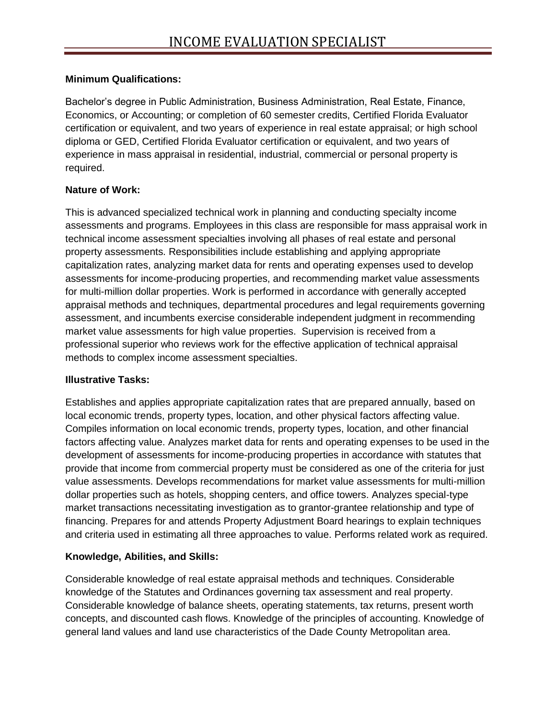## **Minimum Qualifications:**

Bachelor's degree in Public Administration, Business Administration, Real Estate, Finance, Economics, or Accounting; or completion of 60 semester credits, Certified Florida Evaluator certification or equivalent, and two years of experience in real estate appraisal; or high school diploma or GED, Certified Florida Evaluator certification or equivalent, and two years of experience in mass appraisal in residential, industrial, commercial or personal property is required.

## **Nature of Work:**

This is advanced specialized technical work in planning and conducting specialty income assessments and programs. Employees in this class are responsible for mass appraisal work in technical income assessment specialties involving all phases of real estate and personal property assessments. Responsibilities include establishing and applying appropriate capitalization rates, analyzing market data for rents and operating expenses used to develop assessments for income-producing properties, and recommending market value assessments for multi-million dollar properties. Work is performed in accordance with generally accepted appraisal methods and techniques, departmental procedures and legal requirements governing assessment, and incumbents exercise considerable independent judgment in recommending market value assessments for high value properties. Supervision is received from a professional superior who reviews work for the effective application of technical appraisal methods to complex income assessment specialties.

## **Illustrative Tasks:**

Establishes and applies appropriate capitalization rates that are prepared annually, based on local economic trends, property types, location, and other physical factors affecting value. Compiles information on local economic trends, property types, location, and other financial factors affecting value. Analyzes market data for rents and operating expenses to be used in the development of assessments for income-producing properties in accordance with statutes that provide that income from commercial property must be considered as one of the criteria for just value assessments. Develops recommendations for market value assessments for multi-million dollar properties such as hotels, shopping centers, and office towers. Analyzes special-type market transactions necessitating investigation as to grantor-grantee relationship and type of financing. Prepares for and attends Property Adjustment Board hearings to explain techniques and criteria used in estimating all three approaches to value. Performs related work as required.

## **Knowledge, Abilities, and Skills:**

Considerable knowledge of real estate appraisal methods and techniques. Considerable knowledge of the Statutes and Ordinances governing tax assessment and real property. Considerable knowledge of balance sheets, operating statements, tax returns, present worth concepts, and discounted cash flows. Knowledge of the principles of accounting. Knowledge of general land values and land use characteristics of the Dade County Metropolitan area.